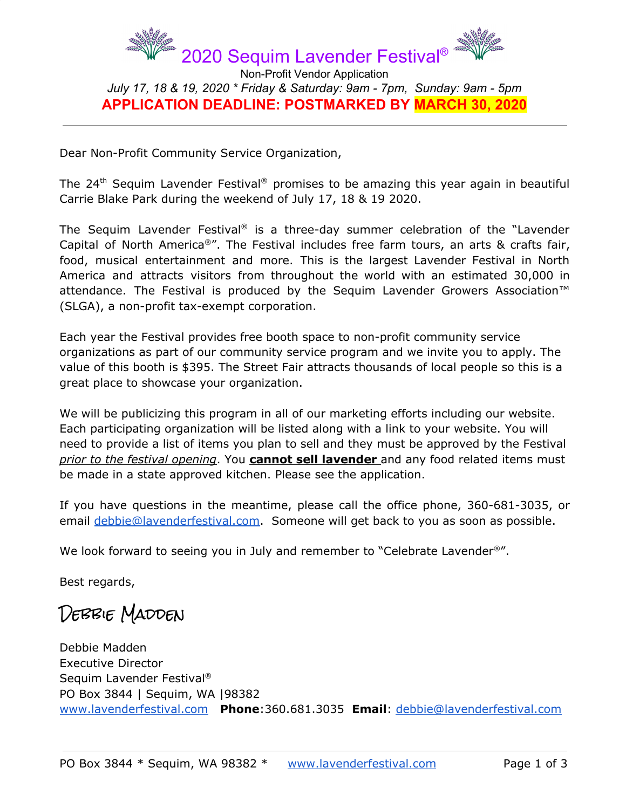

*July 17, 18 & 19, 2020 \* Friday & Saturday: 9am - 7pm, Sunday: 9am - 5pm* **APPLICATION DEADLINE: POSTMARKED BY MARCH 30, 2020**

Dear Non-Profit Community Service Organization,

The 24<sup>th</sup> Sequim Lavender Festival® promises to be amazing this year again in beautiful Carrie Blake Park during the weekend of July 17, 18 & 19 2020.

The Sequim Lavender Festival ® is a three-day summer celebration of the "Lavender Capital of North America®". The Festival includes free farm tours, an arts & crafts fair, food, musical entertainment and more. This is the largest Lavender Festival in North America and attracts visitors from throughout the world with an estimated 30,000 in attendance. The Festival is produced by the Sequim Lavender Growers Association<sup>™</sup> (SLGA), a non-profit tax-exempt corporation.

Each year the Festival provides free booth space to non-profit community service organizations as part of our community service program and we invite you to apply. The value of this booth is \$395. The Street Fair attracts thousands of local people so this is a great place to showcase your organization.

We will be publicizing this program in all of our marketing efforts including our website. Each participating organization will be listed along with a link to your website. You will need to provide a list of items you plan to sell and they must be approved by the Festival *prior to the festival opening*. You **cannot sell lavender** and any food related items must be made in a state approved kitchen. Please see the application.

If you have questions in the meantime, please call the office phone, 360-681-3035, or email [debbie@lavenderfestival.com](mailto:debbie@lavenderfestival.com). Someone will get back to you as soon as possible.

We look forward to seeing you in July and remember to "Celebrate Lavender<sup>®</sup>".

Best regards,

DEBBIE MADDEN

Debbie Madden Executive Director Sequim Lavender Festival ® PO Box 3844 | Sequim, WA |98382 [www.lavenderfestival.com](http://www.lavenderfestival.com/) **Phone**:360.681.3035 **Email**: [debbie@lavenderfestival.com](mailto:debbie@lavenderfestival.com)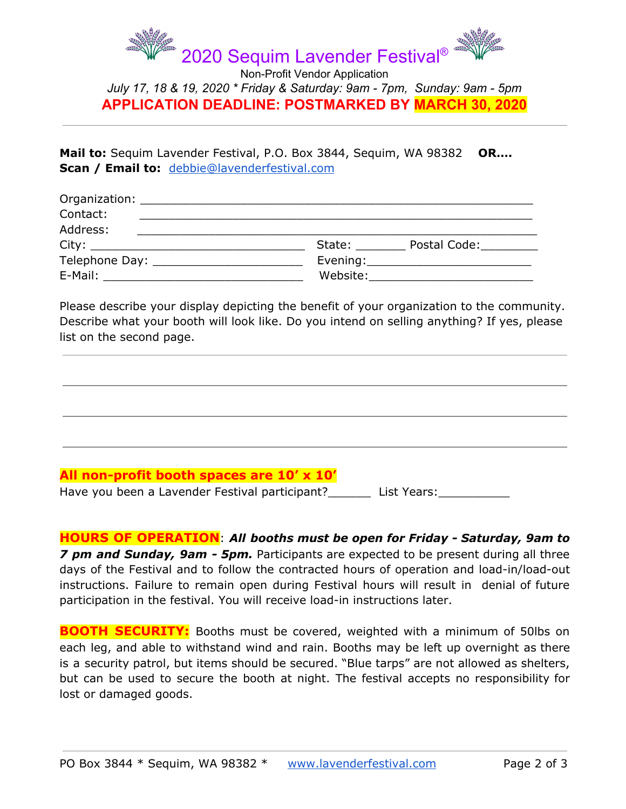

*July 17, 18 & 19, 2020 \* Friday & Saturday: 9am - 7pm, Sunday: 9am - 5pm* **APPLICATION DEADLINE: POSTMARKED BY MARCH 30, 2020**

**Mail to:** Sequim Lavender Festival, P.O. Box 3844, Sequim, WA 98382 **OR…. Scan / Email to:** [debbie@lavenderfestival.com](mailto:debbie@lavenderfestival.com)

| Organization: New York Structure and Structure and Structure and Structure and Structure and Structure and Str |          |                                       |
|----------------------------------------------------------------------------------------------------------------|----------|---------------------------------------|
| Contact:                                                                                                       |          |                                       |
| Address:                                                                                                       |          |                                       |
| City: ___________________________                                                                              | State:   | Postal Code:                          |
| Telephone Day: _____________________                                                                           |          | Evening: ____________________________ |
| E-Mail:                                                                                                        | Website: |                                       |

Please describe your display depicting the benefit of your organization to the community. Describe what your booth will look like. Do you intend on selling anything? If yes, please list on the second page.

## **All non-profit booth spaces are 10' x 10'**

Have you been a Lavender Festival participant? List Years:

**HOURS OF OPERATION**: *All booths must be open for Friday - Saturday, 9am to 7 pm and Sunday, 9am - 5pm.* Participants are expected to be present during all three days of the Festival and to follow the contracted hours of operation and load-in/load-out instructions. Failure to remain open during Festival hours will result in denial of future participation in the festival. You will receive load-in instructions later.

**BOOTH SECURITY:** Booths must be covered, weighted with a minimum of 50lbs on each leg, and able to withstand wind and rain. Booths may be left up overnight as there is a security patrol, but items should be secured. "Blue tarps" are not allowed as shelters, but can be used to secure the booth at night. The festival accepts no responsibility for lost or damaged goods.